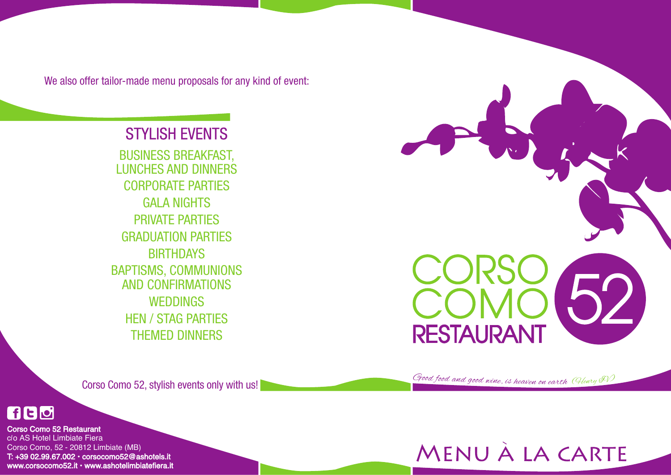We also offer tailor-made menu proposals for any kind of event:

Corso Como 52, stylish events only with us!



Corso Como 52 Restaurant c/o AS Hotel Limbiate Fiera Corso Como, 52 - 20812 Limbiate (MB) T: +39 02.99.67.002 • corsocomo52@ashotels.it www.corsocomo52.it • www.ashotelimbiatefiera.it





# STYLISH EVENTS

BUSINESS BREAKFAST, LUNCHES AND DINNERS CORPORATE PARTIES GALA NIGHTS PRIVATE PARTIES GRADUATION PARTIES BIRTHDAYS BAPTISMS, COMMUNIONS AND CONFIRMATIONS WEDDINGS HEN / STAG PARTIES THEMED DINNERS